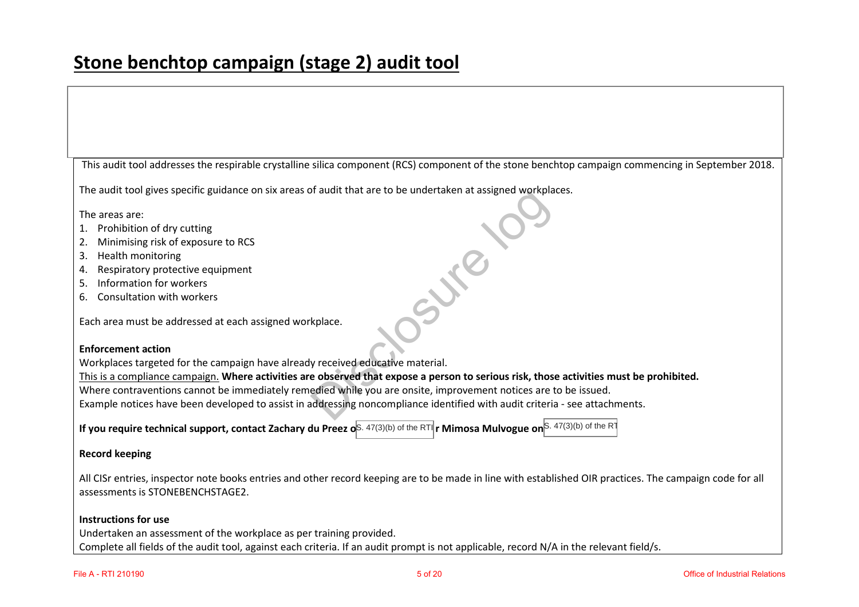This audit tool addresses the respirable crystalline silica component (RCS) component of the stone benchtop campaign commencing in September 2018.

The audit tool gives specific guidance on six areas of audit that are to be undertaken at assigned workplaces. Signed Workpla

The areas are:

- 1. Prohibition of dry cutting
- 2. Minimising risk of exposure to RCS
- 3. Health monitoring
- 4. Respiratory protective equipment
- 5. Information for workers
- 6. Consultation with workers

Each area must be addressed at each assigned workplace.

#### **Enforcement action**

Workplaces targeted for the campaign have already received educative material.

This is a compliance campaign. **Where activities are observed that expose a person to serious risk, those activities must be prohibited.** 

Where contraventions cannot be immediately remedied while you are onsite, improvement notices are to be issued. kplace.<br>
y received educative material.<br>
e observed that expose a person to seriou<br>
edied while you are onsite, improvement r<br>
addressing noncompliance identified with a

Example notices have been developed to assist in addressing noncompliance identified with audit criteria - see attachments.

**If you require technical support, contact Zachary du Preez oS. 47(3)(b) of the RTI <b>r Mimosa Mulvogue on** S. 47(3)(b) of the RT

#### **Record keeping**

All CISr entries, inspector note books entries and other record keeping are to be made in line with established OIR practices. The campaign code for all assessments is STONEBENCHSTAGE2.

#### **Instructions for use**

Undertaken an assessment of the workplace as per training provided. Complete all fields of the audit tool, against each criteria. If an audit prompt is not applicable, record N/A in the relevant field/s.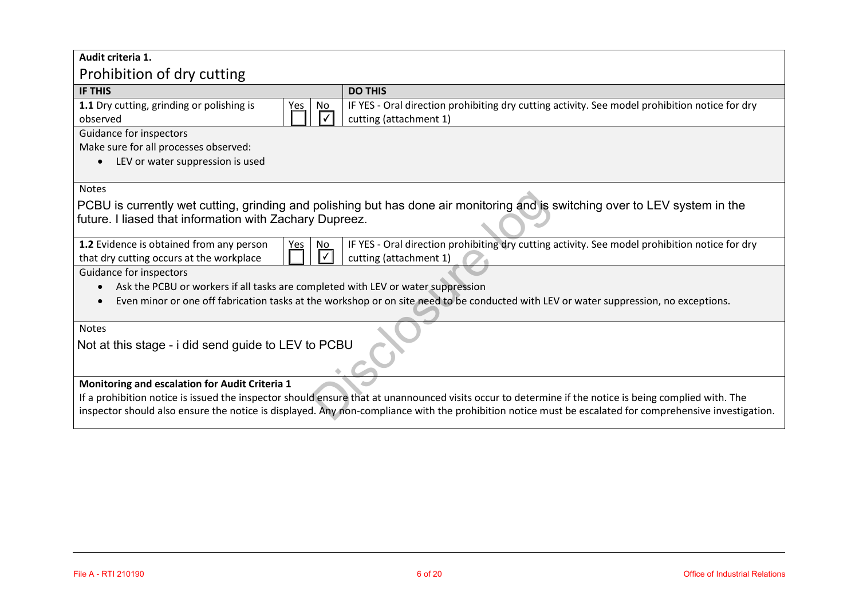| Audit criteria 1.                                                                                                                                                                                                                                                                                                |                                                                                                                          |  |  |  |
|------------------------------------------------------------------------------------------------------------------------------------------------------------------------------------------------------------------------------------------------------------------------------------------------------------------|--------------------------------------------------------------------------------------------------------------------------|--|--|--|
| Prohibition of dry cutting                                                                                                                                                                                                                                                                                       |                                                                                                                          |  |  |  |
| <b>IF THIS</b>                                                                                                                                                                                                                                                                                                   | <b>DO THIS</b>                                                                                                           |  |  |  |
| 1.1 Dry cutting, grinding or polishing is<br>No<br>Yes<br>observed                                                                                                                                                                                                                                               | IF YES - Oral direction prohibiting dry cutting activity. See model prohibition notice for dry<br>cutting (attachment 1) |  |  |  |
| Guidance for inspectors                                                                                                                                                                                                                                                                                          |                                                                                                                          |  |  |  |
| Make sure for all processes observed:<br>LEV or water suppression is used                                                                                                                                                                                                                                        |                                                                                                                          |  |  |  |
| <b>Notes</b><br>PCBU is currently wet cutting, grinding and polishing but has done air monitoring and is switching over to LEV system in the<br>future. I liased that information with Zachary Dupreez.                                                                                                          |                                                                                                                          |  |  |  |
| 1.2 Evidence is obtained from any person<br>IF YES - Oral direction prohibiting dry cutting activity. See model prohibition notice for dry<br>No<br><u>Yes</u><br>$\checkmark$<br>cutting (attachment 1)<br>that dry cutting occurs at the workplace                                                             |                                                                                                                          |  |  |  |
| Guidance for inspectors<br>Ask the PCBU or workers if all tasks are completed with LEV or water suppression<br>Even minor or one off fabrication tasks at the workshop or on site need to be conducted with LEV or water suppression, no exceptions.                                                             |                                                                                                                          |  |  |  |
| <b>Notes</b>                                                                                                                                                                                                                                                                                                     |                                                                                                                          |  |  |  |
| Not at this stage - i did send guide to LEV to PCBU                                                                                                                                                                                                                                                              |                                                                                                                          |  |  |  |
| Monitoring and escalation for Audit Criteria 1                                                                                                                                                                                                                                                                   |                                                                                                                          |  |  |  |
| If a prohibition notice is issued the inspector should ensure that at unannounced visits occur to determine if the notice is being complied with. The<br>inspector should also ensure the notice is displayed. Any non-compliance with the prohibition notice must be escalated for comprehensive investigation. |                                                                                                                          |  |  |  |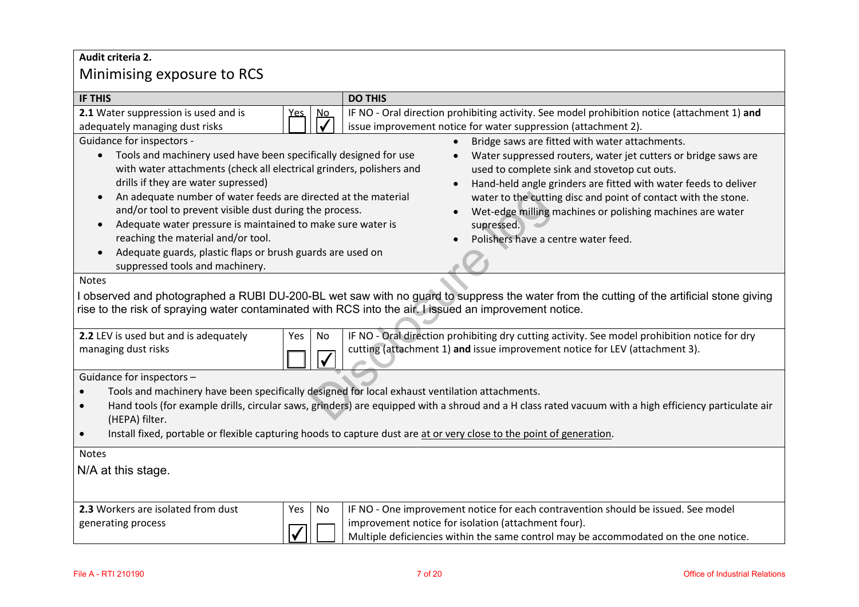# **Audit criteria 2.**  Minimising exposure to RCS

| <b>Nunimising exposure to RCS</b>                                                                                                                                                                                                                                                                                                                                                                                                                                                                                                                                                                                                                                                                                                                                                                                                                                                                                                                                                                    |                                      |                                                                                                                                                                                                                                  |  |  |  |
|------------------------------------------------------------------------------------------------------------------------------------------------------------------------------------------------------------------------------------------------------------------------------------------------------------------------------------------------------------------------------------------------------------------------------------------------------------------------------------------------------------------------------------------------------------------------------------------------------------------------------------------------------------------------------------------------------------------------------------------------------------------------------------------------------------------------------------------------------------------------------------------------------------------------------------------------------------------------------------------------------|--------------------------------------|----------------------------------------------------------------------------------------------------------------------------------------------------------------------------------------------------------------------------------|--|--|--|
| <b>IF THIS</b>                                                                                                                                                                                                                                                                                                                                                                                                                                                                                                                                                                                                                                                                                                                                                                                                                                                                                                                                                                                       |                                      | <b>DO THIS</b>                                                                                                                                                                                                                   |  |  |  |
| 2.1 Water suppression is used and is<br>adequately managing dust risks                                                                                                                                                                                                                                                                                                                                                                                                                                                                                                                                                                                                                                                                                                                                                                                                                                                                                                                               | <u>No</u><br>es.                     | IF NO - Oral direction prohibiting activity. See model prohibition notice (attachment 1) and<br>issue improvement notice for water suppression (attachment 2).                                                                   |  |  |  |
| Guidance for inspectors -<br>Bridge saws are fitted with water attachments.<br>Tools and machinery used have been specifically designed for use<br>Water suppressed routers, water jet cutters or bridge saws are<br>with water attachments (check all electrical grinders, polishers and<br>used to complete sink and stovetop cut outs.<br>drills if they are water supressed)<br>Hand-held angle grinders are fitted with water feeds to deliver<br>An adequate number of water feeds are directed at the material<br>water to the cutting disc and point of contact with the stone.<br>$\bullet$<br>and/or tool to prevent visible dust during the process.<br>Wet-edge milling machines or polishing machines are water<br>Adequate water pressure is maintained to make sure water is<br>supressed.<br>$\bullet$<br>reaching the material and/or tool.<br>Polishers have a centre water feed.<br>Adequate guards, plastic flaps or brush guards are used on<br>suppressed tools and machinery. |                                      |                                                                                                                                                                                                                                  |  |  |  |
| <b>Notes</b><br>observed and photographed a RUBI DU-200-BL wet saw with no guard to suppress the water from the cutting of the artificial stone giving<br>rise to the risk of spraying water contaminated with RCS into the air. I issued an improvement notice.                                                                                                                                                                                                                                                                                                                                                                                                                                                                                                                                                                                                                                                                                                                                     |                                      |                                                                                                                                                                                                                                  |  |  |  |
| 2.2 LEV is used but and is adequately<br>managing dust risks                                                                                                                                                                                                                                                                                                                                                                                                                                                                                                                                                                                                                                                                                                                                                                                                                                                                                                                                         | Yes<br>No<br>$\overline{\checkmark}$ | IF NO - Oral direction prohibiting dry cutting activity. See model prohibition notice for dry<br>cutting (attachment 1) and issue improvement notice for LEV (attachment 3).                                                     |  |  |  |
| Guidance for inspectors -<br>Tools and machinery have been specifically designed for local exhaust ventilation attachments.<br>Hand tools (for example drills, circular saws, grinders) are equipped with a shroud and a H class rated vacuum with a high efficiency particulate air<br>$\bullet$<br>(HEPA) filter.<br>Install fixed, portable or flexible capturing hoods to capture dust are at or very close to the point of generation.<br>$\bullet$                                                                                                                                                                                                                                                                                                                                                                                                                                                                                                                                             |                                      |                                                                                                                                                                                                                                  |  |  |  |
| <b>Notes</b><br>N/A at this stage.                                                                                                                                                                                                                                                                                                                                                                                                                                                                                                                                                                                                                                                                                                                                                                                                                                                                                                                                                                   |                                      |                                                                                                                                                                                                                                  |  |  |  |
| 2.3 Workers are isolated from dust<br>generating process                                                                                                                                                                                                                                                                                                                                                                                                                                                                                                                                                                                                                                                                                                                                                                                                                                                                                                                                             | No<br>Yes                            | IF NO - One improvement notice for each contravention should be issued. See model<br>improvement notice for isolation (attachment four).<br>Multiple deficiencies within the same control may be accommodated on the one notice. |  |  |  |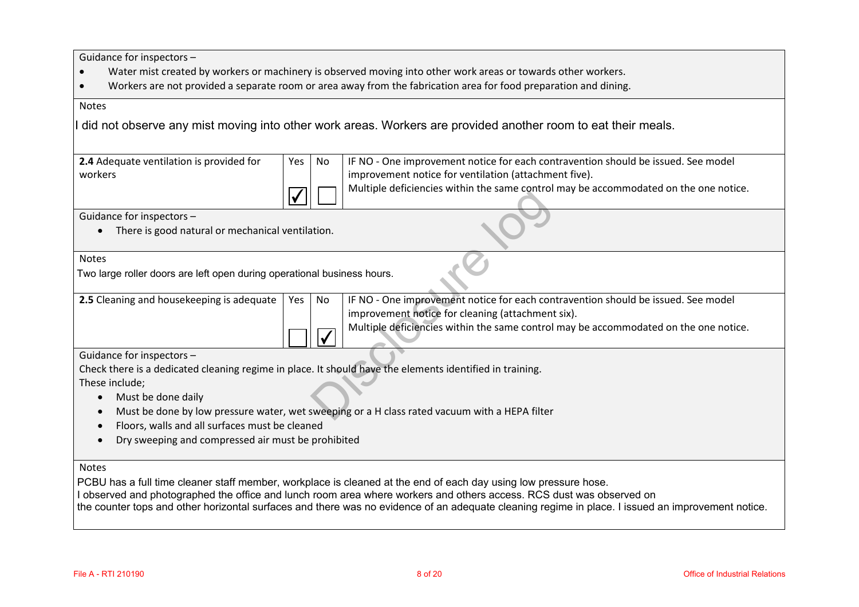Guidance for inspectors –

- $\bullet$ Water mist created by workers or machinery is observed moving into other work areas or towards other workers.
- $\bullet$ Workers are not provided a separate room or area away from the fabrication area for food preparation and dining.

#### Notes

did not observe any mist moving into other work areas. Workers are provided another room to eat their meals.

| 2.4 Adequate ventilation is provided for | Yes No | IF NO - One improvement notice for each contravention should be issued. See model    |
|------------------------------------------|--------|--------------------------------------------------------------------------------------|
| workers                                  |        | I improvement notice for ventilation (attachment five).                              |
|                                          |        | Multiple deficiencies within the same control may be accommodated on the one notice. |

#### Notes

|                                                                                                          |     |                          | mailipic achielencies within the same control may be accommodated on the one notice.          |
|----------------------------------------------------------------------------------------------------------|-----|--------------------------|-----------------------------------------------------------------------------------------------|
| Guidance for inspectors -                                                                                |     |                          |                                                                                               |
| There is good natural or mechanical ventilation.<br>$\bullet$                                            |     |                          |                                                                                               |
| <b>Notes</b>                                                                                             |     |                          |                                                                                               |
| Two large roller doors are left open during operational business hours.                                  |     |                          |                                                                                               |
| 2.5 Cleaning and housekeeping is adequate                                                                | Yes | No.                      | IF NO - One improvement notice for each contravention should be issued. See model             |
|                                                                                                          |     |                          | improvement notice for cleaning (attachment six).                                             |
|                                                                                                          |     | $\overline{\mathcal{U}}$ | Multiple deficiencies within the same control may be accommodated on the one notice.          |
| Guidance for inspectors -                                                                                |     |                          |                                                                                               |
| Check there is a dedicated cleaning regime in place. It should have the elements identified in training. |     |                          |                                                                                               |
| These include;                                                                                           |     |                          |                                                                                               |
| Must be done daily<br>$\bullet$                                                                          |     |                          |                                                                                               |
|                                                                                                          |     |                          | Must be done by low pressure water, wet sweeping or a H class rated vacuum with a HEPA filter |

- Must be done daily
- $\bullet$ Must be done by low pressure water, wet sweeping or a H class rated vacuum with a HEPA filter
- $\bullet$ Floors, walls and all surfaces must be cleaned
- $\bullet$ Dry sweeping and compressed air must be prohibited

#### Notes

PCBU has <sup>a</sup> full time cleaner staff member, workplace is cleaned at the end of each day using low pressure hose.

I observed and photographed the office and lunch room area where workers and others access. RCS dust was observed on

the counter tops and other horizontal surfaces and there was no evidence of an adequate cleaning regime in place. I issued an improvement notice.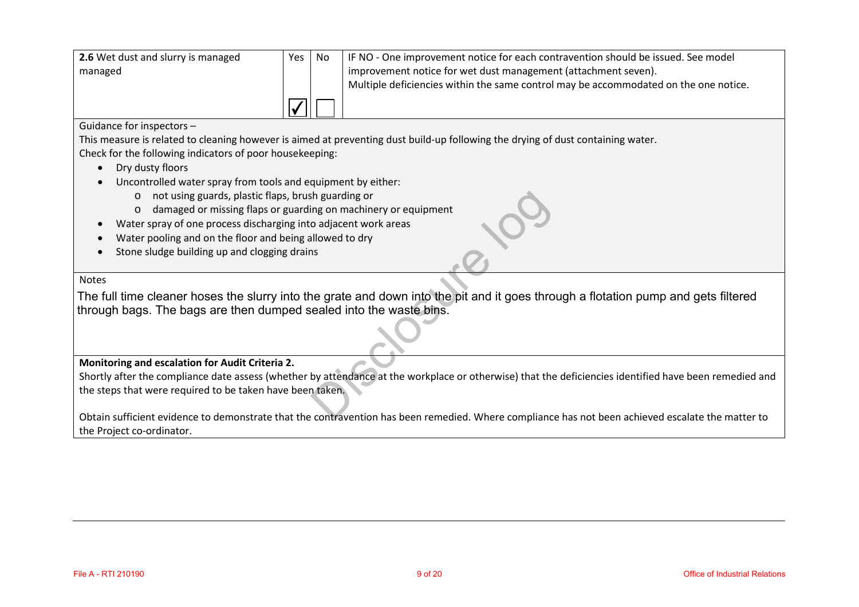| 2.6 Wet dust and slurry is managed | Yes I | No. | IF NO - One improvement notice for each contravention should be issued. See model    |
|------------------------------------|-------|-----|--------------------------------------------------------------------------------------|
| managed                            |       |     | improvement notice for wet dust management (attachment seven).                       |
|                                    |       |     | Multiple deficiencies within the same control may be accommodated on the one notice. |
|                                    |       |     |                                                                                      |

#### Guidance for inspectors –

This measure is related to cleaning however is aimed at preventing dust build-up following the drying of dust containing water. Check for the following indicators of poor housekeeping:

- Dry dusty floors
- $\bullet$  Uncontrolled water spray from tools and equipment by either:
	- o not using guards, plastic flaps, brush guarding or
	- o damaged or missing flaps or guarding on machinery or equipment
- Water spray of one process discharging into adjacent work areas
- $\bullet$ Water pooling and on the floor and being allowed to dry
- $\bullet$ Stone sludge building up and clogging drains

#### Notes

 $\bullet$ 

The full time cleaner hoses the slurry into the grate and down into the pit and it goes through <sup>a</sup> flotation pump and gets filtered through bags. The bags are then dumped sealed into the waste bins. Sh guarding or<br>
ing on machinery or equipment<br>
o adjacent work areas<br>
Illowed to dry<br>
Illowed to dry<br>
Is<br>
ne grate and down into the pit and it goes thro<br>
sealed into the waste bins.<br>
Dustandance at the workplace or otherw

#### **Monitoring and escalation for Audit Criteria 2.**

Shortly after the compliance date assess (whether by attendance at the workplace or otherwise) that the deficiencies identified have been remedied and the steps that were required to be taken have been taken.

Obtain sufficient evidence to demonstrate that the contravention has been remedied. Where compliance has not been achieved escalate the matter to the Project co-ordinator.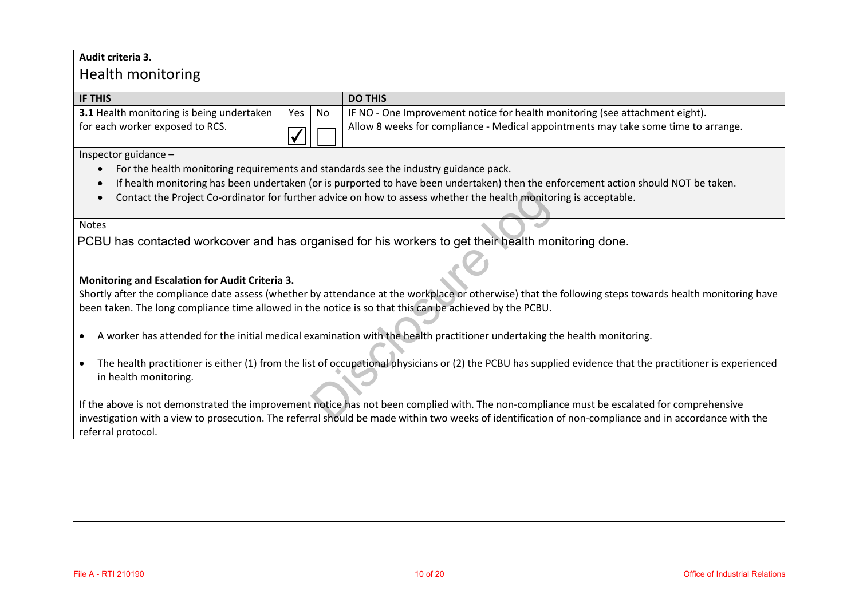### **Audit criteria 3.**

## Health monitoring

| <b>IF THIS</b>                                   |          | <b>DO THIS</b>                                                                     |
|--------------------------------------------------|----------|------------------------------------------------------------------------------------|
| <b>3.1</b> Health monitoring is being undertaken | Yes   No | IF NO - One Improvement notice for health monitoring (see attachment eight).       |
| for each worker exposed to RCS.                  |          | Allow 8 weeks for compliance - Medical appointments may take some time to arrange. |

Inspector guidance –

- $\bullet$ For the health monitoring requirements and standards see the industry guidance pack.
- $\bullet$ If health monitoring has been undertaken (or is purported to have been undertaken) then the enforcement action should NOT be taken.
- $\bullet$ Contact the Project Co-ordinator for further advice on how to assess whether the health monitoring is acceptable.

#### Notes

PCBU has contacted workcover and has organised for his workers to get their health monitoring done.

#### **Monitoring and Escalation for Audit Criteria 3.**

Shortly after the compliance date assess (whether by attendance at the workplace or otherwise) that the following steps towards health monitoring have been taken. The long compliance time allowed in the notice is so that this can be achieved by the PCBU.

- $\bullet$ A worker has attended for the initial medical examination with the health practitioner undertaking the health monitoring.
- The health practitioner is either (1) from the list of occupational physicians or (2) the PCBU has supplied evidence that the practitioner is experienced in health monitoring. In a divide on how to assess whether the health monitory and set their health monitory and set their vertex to get their health monitory attendance at the workplace or otherwise) that the health enotice is so that this can

If the above is not demonstrated the improvement notice has not been complied with. The non-compliance must be escalated for comprehensive investigation with a view to prosecution. The referral should be made within two weeks of identification of non-compliance and in accordance with the referral protocol.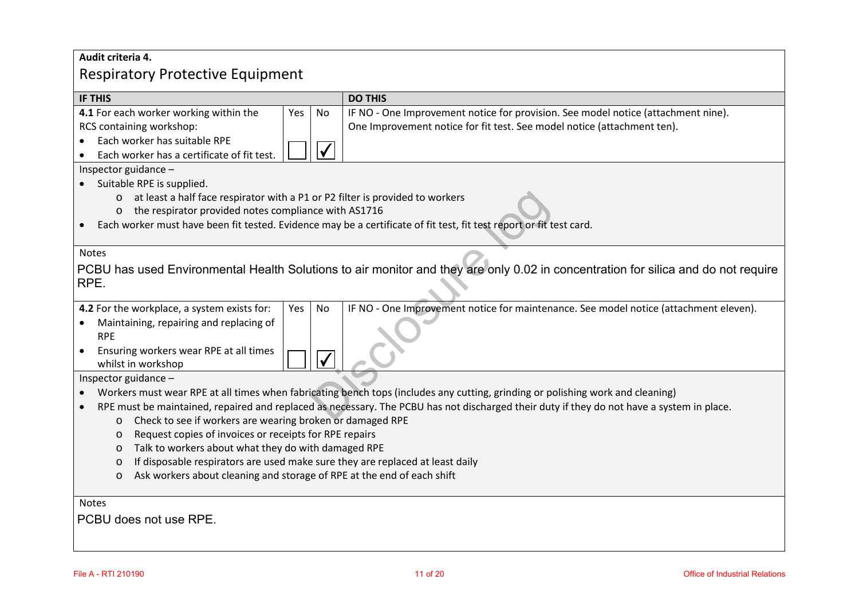## **Audit criteria 4.**  Respiratory Protective Equipment

| <b>IF THIS</b>                                                                                                                                         |                  | <b>DO THIS</b>                                                                                                                    |  |  |
|--------------------------------------------------------------------------------------------------------------------------------------------------------|------------------|-----------------------------------------------------------------------------------------------------------------------------------|--|--|
| 4.1 For each worker working within the                                                                                                                 | No<br>Yes        | IF NO - One Improvement notice for provision. See model notice (attachment nine).                                                 |  |  |
| RCS containing workshop:                                                                                                                               |                  | One Improvement notice for fit test. See model notice (attachment ten).                                                           |  |  |
| Each worker has suitable RPE                                                                                                                           |                  |                                                                                                                                   |  |  |
| Each worker has a certificate of fit test.<br>$\bullet$                                                                                                |                  |                                                                                                                                   |  |  |
| Inspector guidance -                                                                                                                                   |                  |                                                                                                                                   |  |  |
| Suitable RPE is supplied.                                                                                                                              |                  |                                                                                                                                   |  |  |
| at least a half face respirator with a P1 or P2 filter is provided to workers<br>$\circ$                                                               |                  |                                                                                                                                   |  |  |
| the respirator provided notes compliance with AS1716<br>$\circ$                                                                                        |                  |                                                                                                                                   |  |  |
|                                                                                                                                                        |                  | Each worker must have been fit tested. Evidence may be a certificate of fit test, fit test report or fit test card.               |  |  |
|                                                                                                                                                        |                  |                                                                                                                                   |  |  |
| <b>Notes</b>                                                                                                                                           |                  |                                                                                                                                   |  |  |
|                                                                                                                                                        |                  | PCBU has used Environmental Health Solutions to air monitor and they are only 0.02 in concentration for silica and do not require |  |  |
| RPE.                                                                                                                                                   |                  |                                                                                                                                   |  |  |
|                                                                                                                                                        |                  |                                                                                                                                   |  |  |
| 4.2 For the workplace, a system exists for:                                                                                                            | Yes<br><b>No</b> | IF NO - One Improvement notice for maintenance. See model notice (attachment eleven).                                             |  |  |
| Maintaining, repairing and replacing of                                                                                                                |                  |                                                                                                                                   |  |  |
| <b>RPE</b>                                                                                                                                             |                  |                                                                                                                                   |  |  |
| Ensuring workers wear RPE at all times<br>$\bullet$                                                                                                    |                  |                                                                                                                                   |  |  |
| whilst in workshop                                                                                                                                     |                  |                                                                                                                                   |  |  |
| Inspector guidance -                                                                                                                                   |                  |                                                                                                                                   |  |  |
| Workers must wear RPE at all times when fabricating bench tops (includes any cutting, grinding or polishing work and cleaning)                         |                  |                                                                                                                                   |  |  |
| RPE must be maintained, repaired and replaced as necessary. The PCBU has not discharged their duty if they do not have a system in place.<br>$\bullet$ |                  |                                                                                                                                   |  |  |
| Check to see if workers are wearing broken or damaged RPE<br>$\circ$                                                                                   |                  |                                                                                                                                   |  |  |
| Request copies of invoices or receipts for RPE repairs<br>$\circ$                                                                                      |                  |                                                                                                                                   |  |  |
| Talk to workers about what they do with damaged RPE<br>$\circ$                                                                                         |                  |                                                                                                                                   |  |  |
| If disposable respirators are used make sure they are replaced at least daily<br>$\circ$                                                               |                  |                                                                                                                                   |  |  |
| Ask workers about cleaning and storage of RPE at the end of each shift<br>$\circ$                                                                      |                  |                                                                                                                                   |  |  |
|                                                                                                                                                        |                  |                                                                                                                                   |  |  |
| <b>Notes</b>                                                                                                                                           |                  |                                                                                                                                   |  |  |
| PCBU does not use RPE.                                                                                                                                 |                  |                                                                                                                                   |  |  |
|                                                                                                                                                        |                  |                                                                                                                                   |  |  |
|                                                                                                                                                        |                  |                                                                                                                                   |  |  |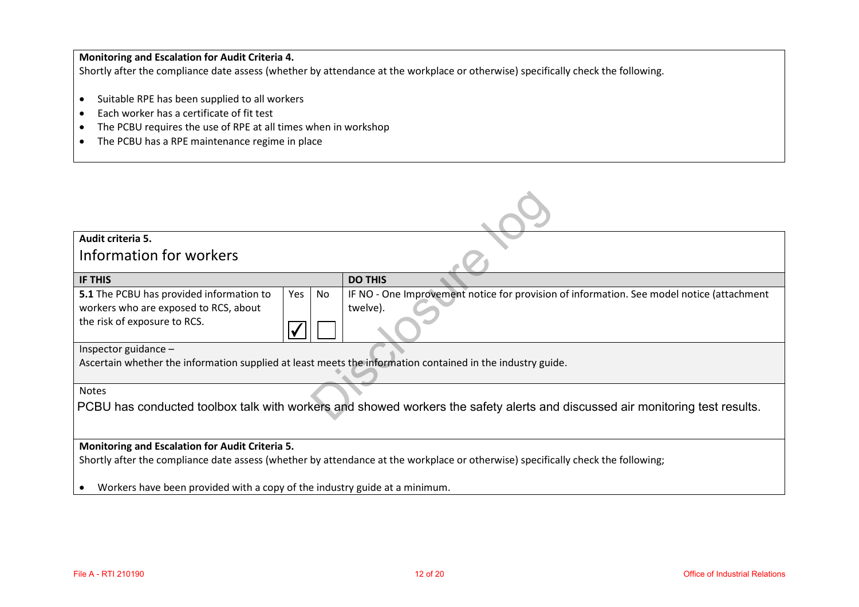### **Monitoring and Escalation for Audit Criteria 4.**

Shortly after the compliance date assess (whether by attendance at the workplace or otherwise) specifically check the following.

- Suitable RPE has been supplied to all workers
- $\bullet$ Each worker has a certificate of fit test
- $\bullet$ The PCBU requires the use of RPE at all times when in workshop
- The PCBU has a RPE maintenance regime in place

| Audit criteria 5.                                                                                                                |    |                                                                                           |  |
|----------------------------------------------------------------------------------------------------------------------------------|----|-------------------------------------------------------------------------------------------|--|
| Information for workers                                                                                                          |    |                                                                                           |  |
| IF THIS                                                                                                                          |    | <b>DO THIS</b>                                                                            |  |
| 5.1 The PCBU has provided information to<br>Yes                                                                                  | No | IF NO - One Improvement notice for provision of information. See model notice (attachment |  |
| workers who are exposed to RCS, about                                                                                            |    | twelve).                                                                                  |  |
| the risk of exposure to RCS.                                                                                                     |    |                                                                                           |  |
| Inspector guidance $-$                                                                                                           |    |                                                                                           |  |
| Ascertain whether the information supplied at least meets the information contained in the industry guide.                       |    |                                                                                           |  |
| <b>Notes</b>                                                                                                                     |    |                                                                                           |  |
| PCBU has conducted toolbox talk with workers and showed workers the safety alerts and discussed air monitoring test results.     |    |                                                                                           |  |
| Monitoring and Escalation for Audit Criteria 5.                                                                                  |    |                                                                                           |  |
| Shortly after the compliance date assess (whether by attendance at the workplace or otherwise) specifically check the following; |    |                                                                                           |  |
| Workers have been provided with a copy of the industry guide at a minimum.                                                       |    |                                                                                           |  |